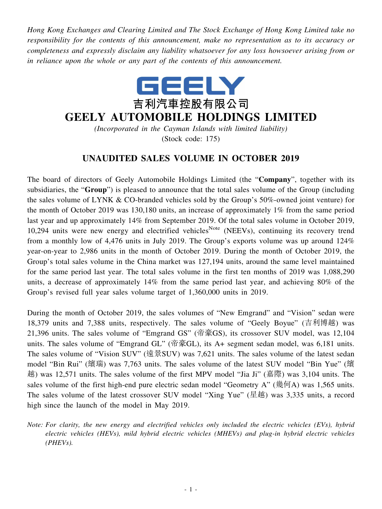*Hong Kong Exchanges and Clearing Limited and The Stock Exchange of Hong Kong Limited take no responsibility for the contents of this announcement, make no representation as to its accuracy or completeness and expressly disclaim any liability whatsoever for any loss howsoever arising from or in reliance upon the whole or any part of the contents of this announcement.*



## **GEELY AUTOMOBILE HOLDINGS LIMITED**

*(Incorporated in the Cayman Islands with limited liability)* (Stock code: 175)

## **UNAUDITED SALES VOLUME IN OCTOBER 2019**

The board of directors of Geely Automobile Holdings Limited (the "**Company**", together with its subsidiaries, the "**Group**") is pleased to announce that the total sales volume of the Group (including the sales volume of LYNK & CO-branded vehicles sold by the Group's 50%-owned joint venture) for the month of October 2019 was 130,180 units, an increase of approximately 1% from the same period last year and up approximately 14% from September 2019. Of the total sales volume in October 2019, 10,294 units were new energy and electrified vehicles<sup>Note</sup> (NEEVs), continuing its recovery trend from a monthly low of 4,476 units in July 2019. The Group's exports volume was up around 124% year-on-year to 2,986 units in the month of October 2019. During the month of October 2019, the Group's total sales volume in the China market was 127,194 units, around the same level maintained for the same period last year. The total sales volume in the first ten months of 2019 was 1,088,290 units, a decrease of approximately 14% from the same period last year, and achieving 80% of the Group's revised full year sales volume target of 1,360,000 units in 2019.

During the month of October 2019, the sales volumes of "New Emgrand" and "Vision" sedan were 18,379 units and 7,388 units, respectively. The sales volume of "Geely Boyue" (吉利博越) was 21,396 units. The sales volume of "Emgrand GS" (帝豪GS), its crossover SUV model, was 12,104 units. The sales volume of "Emgrand GL" (帝豪GL), its A+ segment sedan model, was 6,181 units. The sales volume of "Vision SUV" (遠景SUV) was 7,621 units. The sales volume of the latest sedan model "Bin Rui" (繽瑞) was 7,763 units. The sales volume of the latest SUV model "Bin Yue" (繽 越) was 12,571 units. The sales volume of the first MPV model "Jia Ji" (嘉際) was 3,104 units. The sales volume of the first high-end pure electric sedan model "Geometry A" (幾何A) was 1,565 units. The sales volume of the latest crossover SUV model "Xing Yue" (星越) was 3,335 units, a record high since the launch of the model in May 2019.

*Note: For clarity, the new energy and electrified vehicles only included the electric vehicles (EVs), hybrid electric vehicles (HEVs), mild hybrid electric vehicles (MHEVs) and plug-in hybrid electric vehicles (PHEVs).*